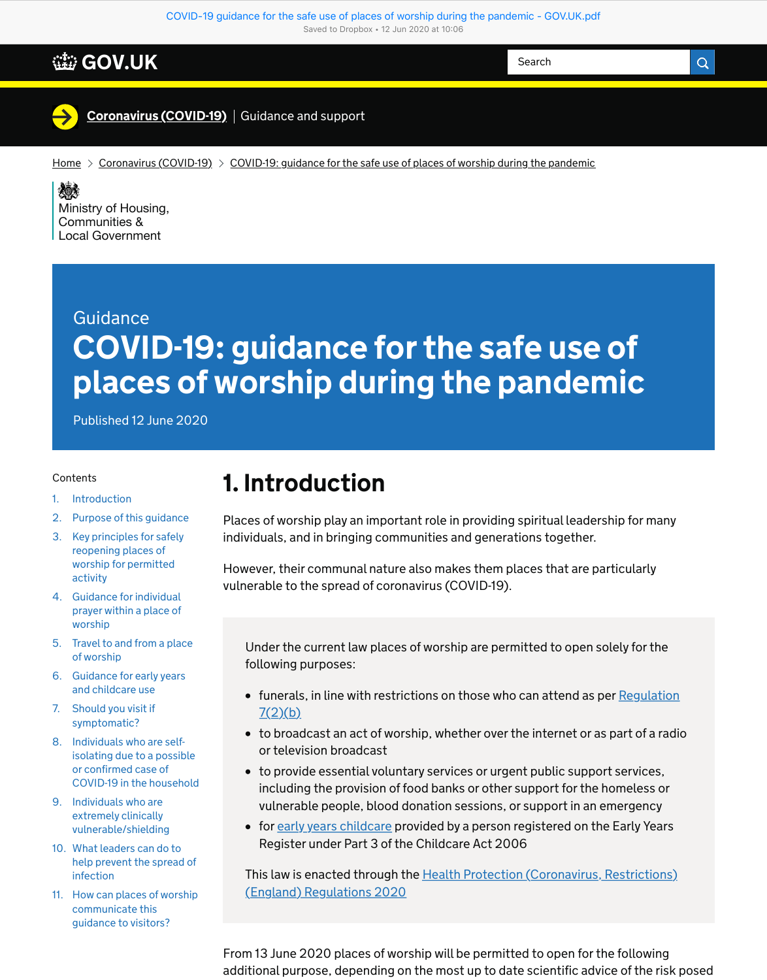# Guidance COVID-19: guidance for the safe use of places of worship during the pandemic

Published 12 June 2020

#### **Contents**

# 1. Introduction

Places of worship play an important role in providing spiritual leadership for many individuals, and in bringing communities and generations together.

However, their communal nature also makes them places that are particularly vulnerable to the spread of coronavirus (COVID-19).

- [funerals, in line with restrictions on those who can attend as per Regulation](http://www.legislation.gov.uk/uksi/2020/350/regulation/7/made)  $7(2)(b)$
- to broadcast an act of worship, whether over the internet or as part of a radio or television broadcast
- to provide essential voluntary services or urgent public support services, including the provision of food banks or other support for the homeless or vulnerable people, blood donation sessions, or support in an emergency
- for [early years childcare](https://www.gov.uk/government/publications/coronavirus-covid-19-early-years-and-childcare-closures/coronavirus-covid-19-early-years-and-childcare-closures) provided by a person registered on the Early Years Register under Part 3 of the Childcare Act 2006

Under the current law places of worship are permitted to open solely for the following purposes:

[This law is enacted through the Health Protection \(Coronavirus, Restrictions\)](http://www.legislation.gov.uk/uksi/2020/129/contents/made) (England) Regulations 2020

| <b>WEED GOV.UK</b>                                                                                                                                                                                            | Search | $\mathsf Q$ |
|---------------------------------------------------------------------------------------------------------------------------------------------------------------------------------------------------------------|--------|-------------|
| <b>Coronavirus (COVID-19)</b> Guidance and support                                                                                                                                                            |        |             |
| Coronavirus (COVID-19) $\rightarrow$ COVID-19: guidance for the safe use of places of worship during the pandemic<br>Home<br>爆<br>Ministry of Housing,<br><b>Communities &amp;</b><br><b>Local Government</b> |        |             |
|                                                                                                                                                                                                               |        |             |

From 13 June 2020 places of worship will be permitted to open for the following additional purpose, depending on the most up to date scientific advice of the risk posed

- 1. [Introduction](https://www.gov.uk/government/publications/covid-19-guidance-for-the-safe-use-of-places-of-worship-during-the-pandemic/#introduction)
- 2. [Purpose of this guidance](https://www.gov.uk/government/publications/covid-19-guidance-for-the-safe-use-of-places-of-worship-during-the-pandemic/#purpose-of-this-guidance)
- 3. [Key principles for safely](https://www.gov.uk/government/publications/covid-19-guidance-for-the-safe-use-of-places-of-worship-during-the-pandemic/#section3) reopening places of worship for permitted activity
- 4. [Guidanc](https://www.gov.uk/government/publications/covid-19-guidance-for-the-safe-use-of-places-of-worship-during-the-pandemic/#contents)e for individual [prayer within a place of](https://www.gov.uk/government/publications/covid-19-guidance-for-the-safe-use-of-places-of-worship-during-the-pandemic/#section4)

- worship
- 5. [Travel to and from a place](https://www.gov.uk/government/publications/covid-19-guidance-for-the-safe-use-of-places-of-worship-during-the-pandemic/#section5) of worship
- 6. [Guidance for early years](https://www.gov.uk/government/publications/covid-19-guidance-for-the-safe-use-of-places-of-worship-during-the-pandemic/#guidance-for-early-years-and-childcare-use) and childcare use
- 7. [Should you visit if](https://www.gov.uk/government/publications/covid-19-guidance-for-the-safe-use-of-places-of-worship-during-the-pandemic/#should-you-visit-if-symptomatic) symptomatic?
- 8. Individuals who are selfisolating due to a possible or confirmed case of [COVID-19 in the household](https://www.gov.uk/government/publications/covid-19-guidance-for-the-safe-use-of-places-of-worship-during-the-pandemic/#individuals-who-are-self-isolating-due-to-a-possible-or-confirmed-case-of-covid-19-in-the-household)
- 9. Individuals who are extremely clinically [vulnerable/shielding](https://www.gov.uk/government/publications/covid-19-guidance-for-the-safe-use-of-places-of-worship-during-the-pandemic/#individuals-who-are-extremely-clinically-vulnerableshielding)
- 10. What leaders can do to [help prevent the spread of](https://www.gov.uk/government/publications/covid-19-guidance-for-the-safe-use-of-places-of-worship-during-the-pandemic/#what-leaders-can-do-to-help-prevent-the-spread-of-infection) infection
- 11. [How can places of worship](https://www.gov.uk/government/publications/covid-19-guidance-for-the-safe-use-of-places-of-worship-during-the-pandemic/#how-can-places-of-worship-communicate-this-guidance-to-visitors) communicate this guidance to visitors?

#### [COVID-19 guidance for the safe use of places of worship during the pandemic - GOV.UK.pdf](https://www.gov.uk/government/publications/covid-19-guidance-for-the-safe-use-of-places-of-worship-during-the-pandemic/covid-19-guidance-for-the-safe-use-of-places-of-worship-during-the-pandemic) Saved to Dropbox • 12 Jun 2020 at 10:06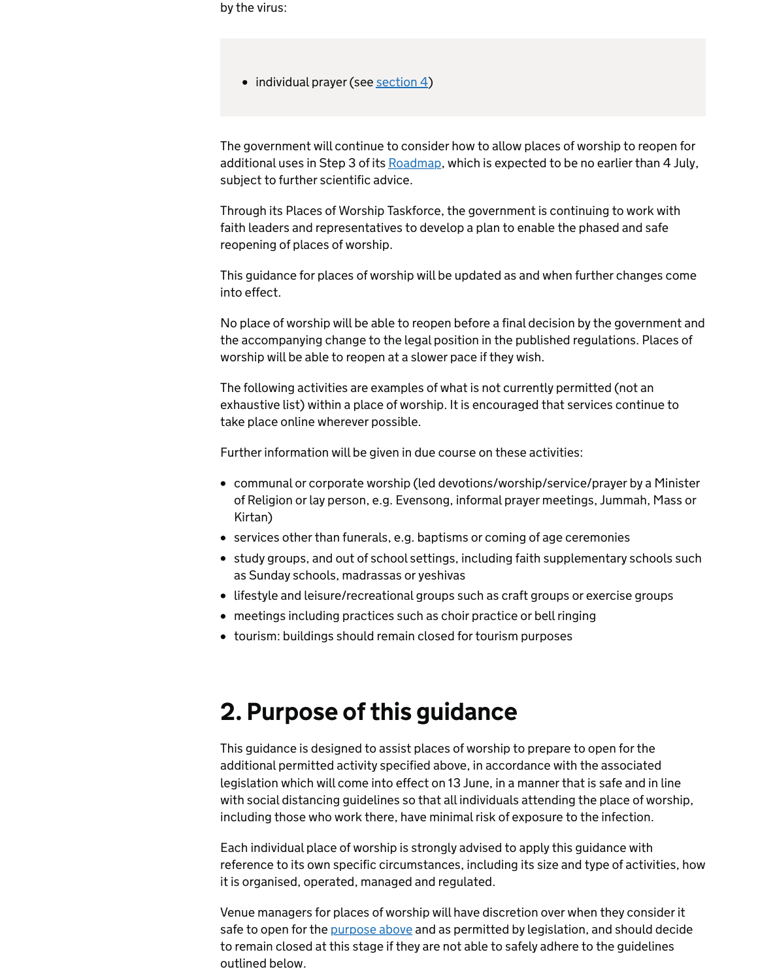by the virus:

• individual prayer (see [section 4\)](https://www.gov.uk/government/publications/covid-19-guidance-for-the-safe-use-of-places-of-worship-during-the-pandemic/#section4)

The government will continue to consider how to allow places of worship to reopen for additional uses in Step 3 of its [Roadmap](https://www.gov.uk/government/publications/our-plan-to-rebuild-the-uk-governments-covid-19-recovery-strategy/our-plan-to-rebuild-the-uk-governments-covid-19-recovery-strategy), which is expected to be no earlier than 4 July, subject to further scientific advice.

Through its Places of Worship Taskforce, the government is continuing to work with faith leaders and representatives to develop a plan to enable the phased and safe reopening of places of worship.

This guidance for places of worship will be updated as and when further changes come into effect.

No place of worship will be able to reopen before a final decision by the government and the accompanying change to the legal position in the published regulations. Places of worship will be able to reopen at a slower pace if they wish.

The following activities are examples of what is not currently permitted (not an exhaustive list) within a place of worship. It is encouraged that services continue to take place online wherever possible.

Further information will be given in due course on these activities:

- communal or corporate worship (led devotions/worship/service/prayer by a Minister of Religion or lay person, e.g. Evensong, informal prayer meetings, Jummah, Mass or Kirtan)
- services other than funerals, e.g. baptisms or coming of age ceremonies
- study groups, and out of school settings, including faith supplementary schools such as Sunday schools, madrassas or yeshivas
- lifestyle and leisure/recreational groups such as craft groups or exercise groups
- meetings including practices such as choir practice or bell ringing
- tourism: buildings should remain closed for tourism purposes

## 2. Purpose of this guidance

This guidance is designed to assist places of worship to prepare to open for the additional permitted activity specified above, in accordance with the associated legislation which will come into effect on 13 June, in a manner that is safe and in line with social distancing guidelines so that all individuals attending the place of worship, including those who work there, have minimal risk of exposure to the infection.

Each individual place of worship is strongly advised to apply this guidance with reference to its own specific circumstances, including its size and type of activities, how it is organised, operated, managed and regulated.

Venue managers for places of worship will have discretion over when they consider it safe to open for the [purpose above](https://www.gov.uk/government/publications/covid-19-guidance-for-the-safe-use-of-places-of-worship-during-the-pandemic/#permitted-activities) and as permitted by legislation, and should decide to remain closed at this stage if they are not able to safely adhere to the guidelines outlined below.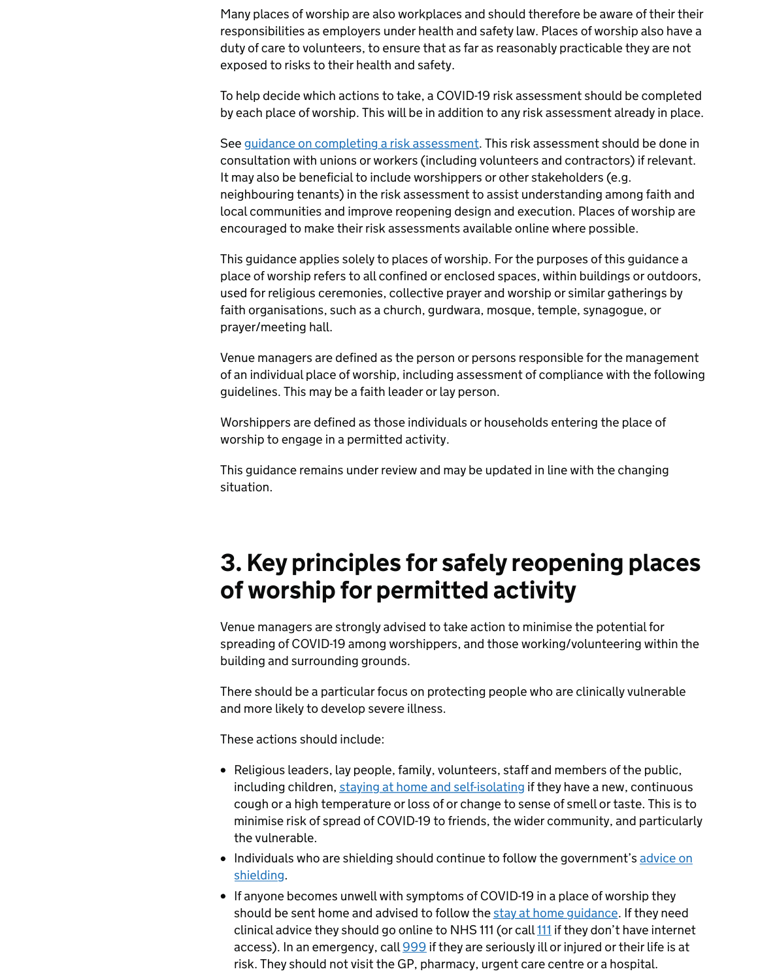Many places of worship are also workplaces and should therefore be aware of their their responsibilities as employers under health and safety law. Places of worship also have a duty of care to volunteers, to ensure that as far as reasonably practicable they are not exposed to risks to their health and safety.

To help decide which actions to take, a COVID-19 risk assessment should be completed by each place of worship. This will be in addition to any risk assessment already in place.

See [guidance on completing a risk assessment](https://www.hse.gov.uk/simple-health-safety/risk/risk-assessment-template-and-examples.htm). This risk assessment should be done in consultation with unions or workers (including volunteers and contractors) if relevant. It may also be beneficial to include worshippers or other stakeholders (e.g. neighbouring tenants) in the risk assessment to assist understanding among faith and local communities and improve reopening design and execution. Places of worship are encouraged to make their risk assessments available online where possible.

This guidance applies solely to places of worship. For the purposes of this guidance a place of worship refers to all confined or enclosed spaces, within buildings or outdoors, used for religious ceremonies, collective prayer and worship or similar gatherings by faith organisations, such as a church, gurdwara, mosque, temple, synagogue, or prayer/meeting hall.

Venue managers are defined as the person or persons responsible for the management of an individual place of worship, including assessment of compliance with the following guidelines. This may be a faith leader or lay person.

- Religious leaders, lay people, family, volunteers, staff and members of the public, including children, [staying at home and self-isolating](https://www.gov.uk/government/publications/covid-19-stay-at-home-guidance/stay-at-home-guidance-for-households-with-possible-coronavirus-covid-19-infection) if they have a new, continuous cough or a high temperature or loss of or change to sense of smell or taste. This is to minimise risk of spread of COVID-19 to friends, the wider community, and particularly the vulnerable.
- [Individuals who are shielding should continue to follow the government's advice on](https://www.gov.uk/government/publications/guidance-on-shielding-and-protecting-extremely-vulnerable-persons-from-covid-19/guidance-on-shielding-and-protecting-extremely-vulnerable-persons-from-covid-19) shielding.
- If anyone becomes unwell with symptoms of COVID-19 in a place of worship they should be sent home and advised to follow the [stay at home guidance](https://www.gov.uk/government/publications/covid-19-stay-at-home-guidance/stay-at-home-guidance-for-households-with-possible-coronavirus-covid-19-infection). If they need clinical advice they should go online to NHS 111 (or call 111 if they don't have internet access). In an emergency, call 999 if they are seriously ill or injured or their life is at risk. They should not visit the GP, pharmacy, urgent care centre or a hospital.

Worshippers are defined as those individuals or households entering the place of worship to engage in a permitted activity.

This guidance remains under review and may be updated in line with the changing situation.

## 3. Key principles for safely reopening places of worship for permitted activity

Venue managers are strongly advised to take action to minimise the potential for spreading of COVID-19 among worshippers, and those working/volunteering within the building and surrounding grounds.

There should be a particular focus on protecting people who are clinically vulnerable and more likely to develop severe illness.

These actions should include: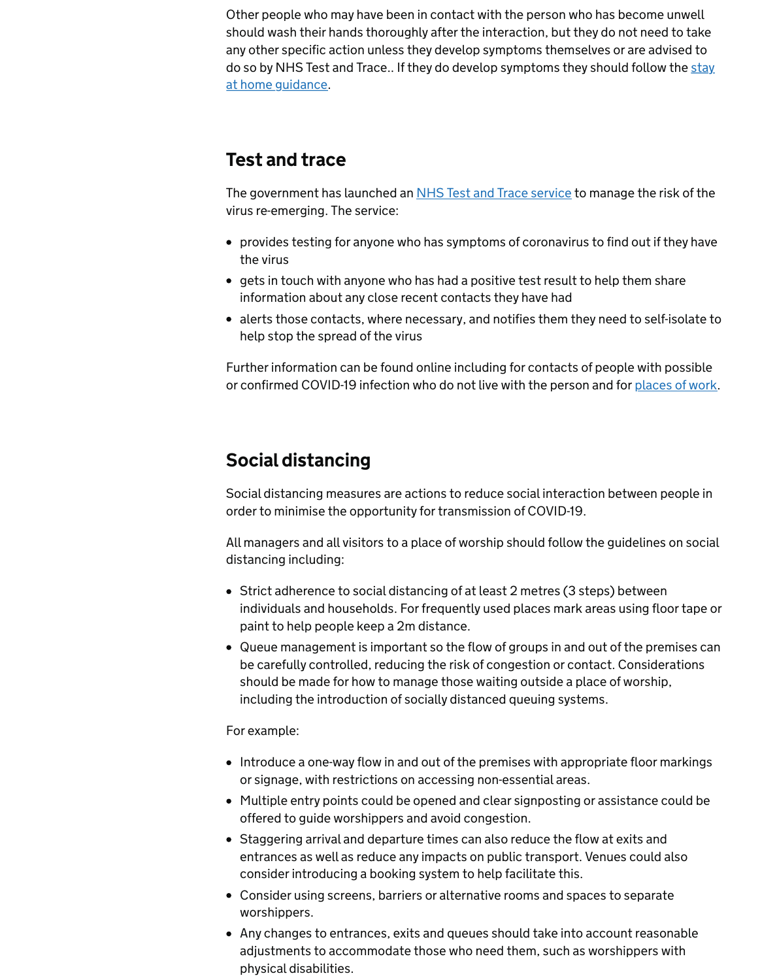Other people who may have been in contact with the person who has become unwell should wash their hands thoroughly after the interaction, but they do not need to take any other specific action unless they develop symptoms themselves or are advised to [do so by NHS Test and Trace.. If they do develop symptoms they should follow the stay](https://www.gov.uk/government/publications/covid-19-stay-at-home-guidance/stay-at-home-guidance-for-households-with-possible-coronavirus-covid-19-infection) at home guidance.

The government has launched an [NHS Test and Trace service](https://www.nhs.uk/conditions/coronavirus-covid-19/testing-and-tracing/) to manage the risk of the virus re-emerging. The service:

#### Test and trace

Further information can be found online including for contacts of people with possible or confirmed COVID-19 infection who do not live with the person and for [places of work](https://www.gov.uk/guidance/nhs-test-and-trace-workplace-guidance#about-the-nhs-test-and-trace-service).

- provides testing for anyone who has symptoms of coronavirus to find out if they have the virus
- gets in touch with anyone who has had a positive test result to help them share information about any close recent contacts they have had
- alerts those contacts, where necessary, and notifies them they need to self-isolate to help stop the spread of the virus

### Social distancing

Social distancing measures are actions to reduce social interaction between people in order to minimise the opportunity for transmission of COVID-19.

All managers and all visitors to a place of worship should follow the guidelines on social distancing including:

- Introduce a one-way flow in and out of the premises with appropriate floor markings or signage, with restrictions on accessing non-essential areas.
- Multiple entry points could be opened and clear signposting or assistance could be offered to guide worshippers and avoid congestion.
- Staggering arrival and departure times can also reduce the flow at exits and entrances as well as reduce any impacts on public transport. Venues could also consider introducing a booking system to help facilitate this.
- Consider using screens, barriers or alternative rooms and spaces to separate worshippers.
- Any changes to entrances, exits and queues should take into account reasonable adjustments to accommodate those who need them, such as worshippers with physical disabilities.
- Strict adherence to social distancing of at least 2 metres (3 steps) between individuals and households. For frequently used places mark areas using floor tape or paint to help people keep a 2m distance.
- Queue management is important so the flow of groups in and out of the premises can be carefully controlled, reducing the risk of congestion or contact. Considerations should be made for how to manage those waiting outside a place of worship, including the introduction of socially distanced queuing systems.

#### For example: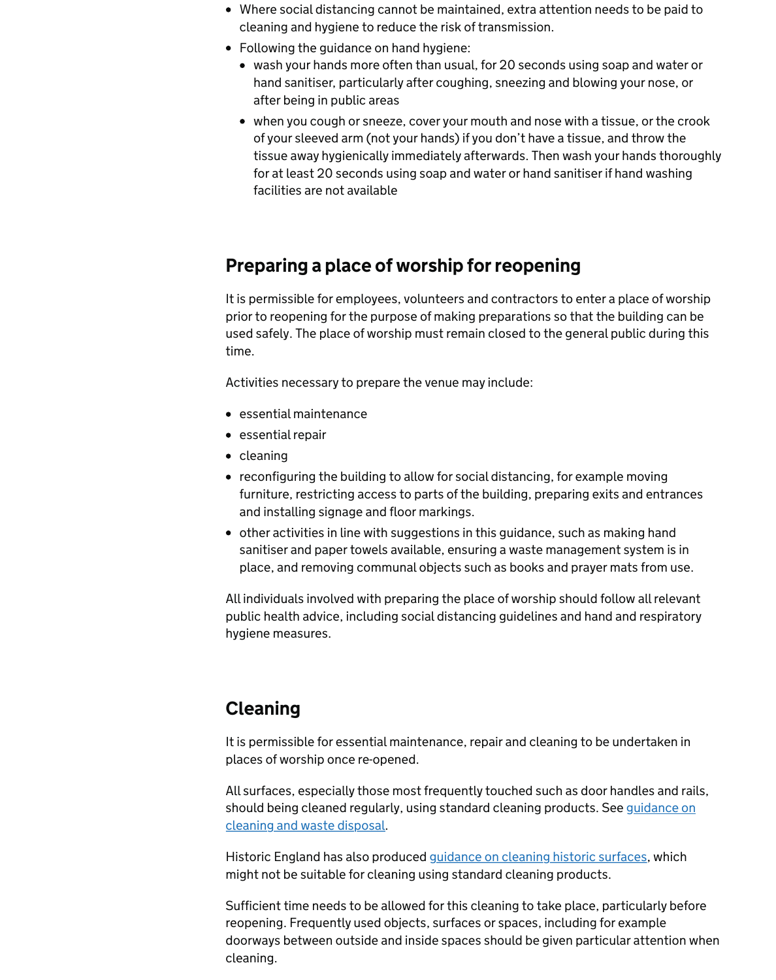- Where social distancing cannot be maintained, extra attention needs to be paid to cleaning and hygiene to reduce the risk of transmission.
- Following the guidance on hand hygiene:
	- wash your hands more often than usual, for 20 seconds using soap and water or hand sanitiser, particularly after coughing, sneezing and blowing your nose, or after being in public areas
	- when you cough or sneeze, cover your mouth and nose with a tissue, or the crook of your sleeved arm (not your hands) if you don't have a tissue, and throw the tissue away hygienically immediately afterwards. Then wash your hands thoroughly for at least 20 seconds using soap and water or hand sanitiser if hand washing facilities are not available

### Preparing a place of worship for reopening

It is permissible for employees, volunteers and contractors to enter a place of worship prior to reopening for the purpose of making preparations so that the building can be used safely. The place of worship must remain closed to the general public during this time.

Activities necessary to prepare the venue may include:

Historic England has also produced [guidance on cleaning historic surfaces,](https://historicengland.org.uk/coronavirus/historic-places/cleaning-historic-surfaces/) which might not be suitable for cleaning using standard cleaning products.

- essential maintenance
- essential repair
- cleaning
- reconfiguring the building to allow for social distancing, for example moving furniture, restricting access to parts of the building, preparing exits and entrances and installing signage and floor markings.
- other activities in line with suggestions in this guidance, such as making hand sanitiser and paper towels available, ensuring a waste management system is in place, and removing communal objects such as books and prayer mats from use.

All individuals involved with preparing the place of worship should follow all relevant public health advice, including social distancing guidelines and hand and respiratory

hygiene measures.

#### Cleaning

It is permissible for essential maintenance, repair and cleaning to be undertaken in places of worship once re-opened.

All surfaces, especially those most frequently touched such as door handles and rails, [should being cleaned regularly, using standard cleaning products. See guidance on](https://www.gov.uk/government/publications/covid-19-decontamination-in-non-healthcare-settings/covid-19-decontamination-in-non-healthcare-settings) cleaning and waste disposal.

Sufficient time needs to be allowed for this cleaning to take place, particularly before reopening. Frequently used objects, surfaces or spaces, including for example doorways between outside and inside spaces should be given particular attention when cleaning.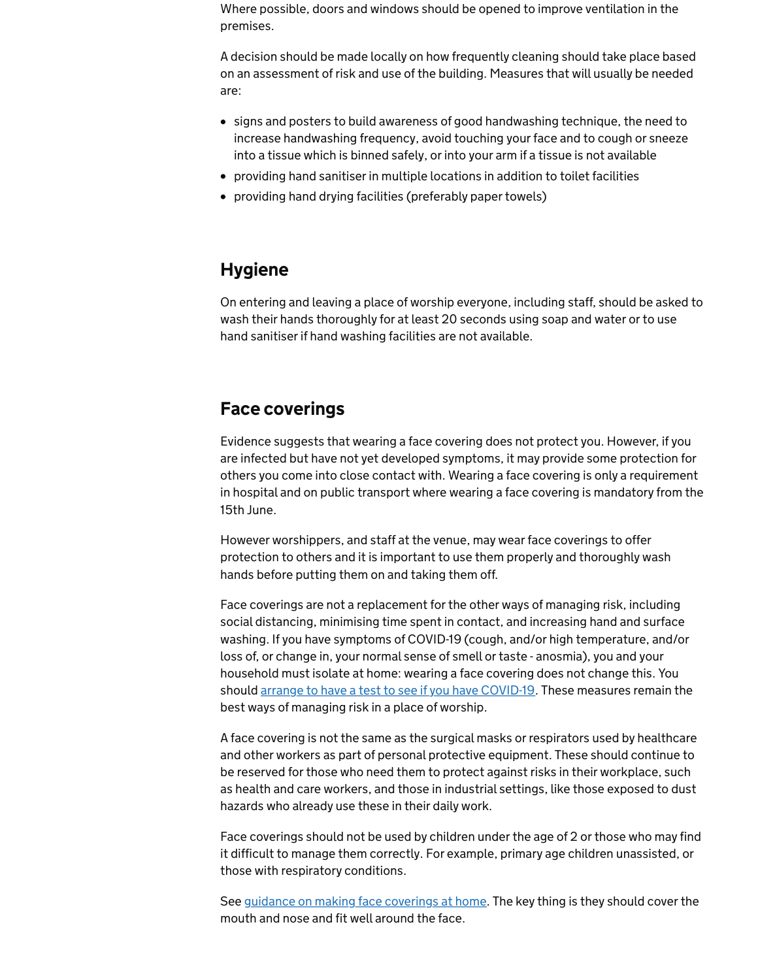Where possible, doors and windows should be opened to improve ventilation in the premises.

A decision should be made locally on how frequently cleaning should take place based on an assessment of risk and use of the building. Measures that will usually be needed are:

- signs and posters to build awareness of good handwashing technique, the need to increase handwashing frequency, avoid touching your face and to cough or sneeze into a tissue which is binned safely, or into your arm if a tissue is not available
- providing hand sanitiser in multiple locations in addition to toilet facilities
- providing hand drying facilities (preferably paper towels)

### **Hygiene**

On entering and leaving a place of worship everyone, including staff, should be asked to wash their hands thoroughly for at least 20 seconds using soap and water or to use hand sanitiser if hand washing facilities are not available.

### Face coverings

Evidence suggests that wearing a face covering does not protect you. However, if you are infected but have not yet developed symptoms, it may provide some protection for others you come into close contact with. Wearing a face covering is only a requirement in hospital and on public transport where wearing a face covering is mandatory from the 15th June.

However worshippers, and staff at the venue, may wear face coverings to offer protection to others and it is important to use them properly and thoroughly wash hands before putting them on and taking them off.

See [guidance on making face coverings at home](https://www.gov.uk/government/publications/how-to-wear-and-make-a-cloth-face-covering/how-to-wear-and-make-a-cloth-face-covering). The key thing is they should cover the mouth and nose and fit well around the face.

Face coverings are not a replacement for the other ways of managing risk, including

social distancing, minimising time spent in contact, and increasing hand and surface washing. If you have symptoms of COVID-19 (cough, and/or high temperature, and/or loss of, or change in, your normal sense of smell or taste - anosmia), you and your household must isolate at home: wearing a face covering does not change this. You should [arrange to have a test to see if you have COVID-19.](https://www.nhs.uk/conditions/coronavirus-covid-19/testing-and-tracing/) These measures remain the best ways of managing risk in a place of worship.

A face covering is not the same as the surgical masks or respirators used by healthcare and other workers as part of personal protective equipment. These should continue to be reserved for those who need them to protect against risks in their workplace, such as health and care workers, and those in industrial settings, like those exposed to dust hazards who already use these in their daily work.

Face coverings should not be used by children under the age of 2 or those who may find it difficult to manage them correctly. For example, primary age children unassisted, or those with respiratory conditions.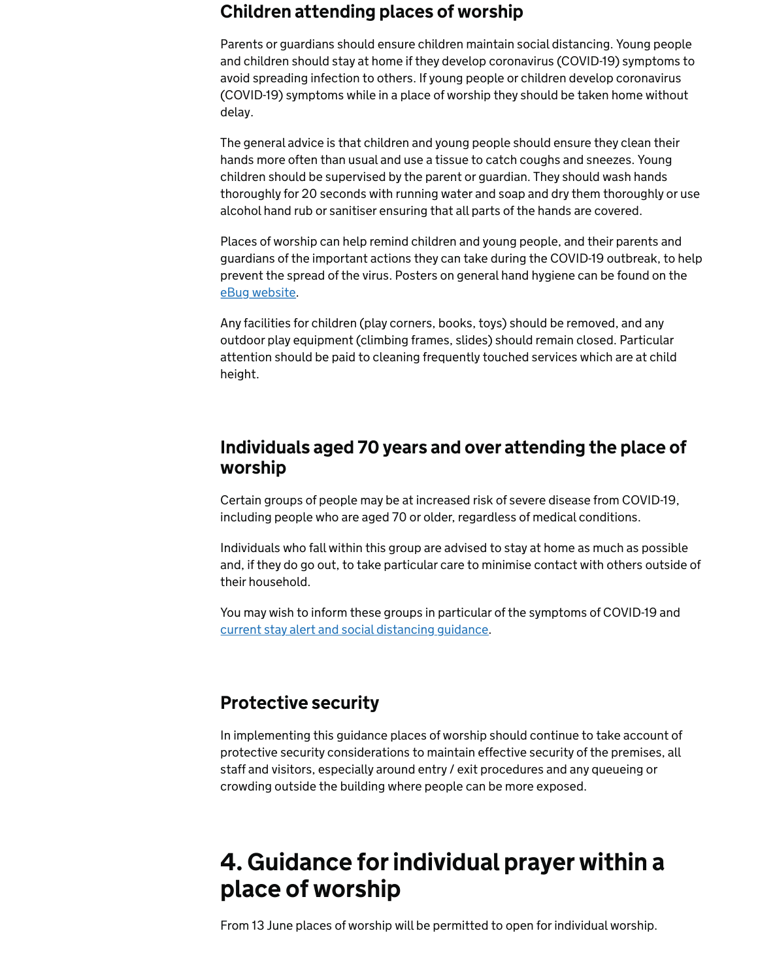### Children attending places of worship

Parents or guardians should ensure children maintain social distancing. Young people and children should stay at home if they develop coronavirus (COVID-19) symptoms to avoid spreading infection to others. If young people or children develop coronavirus (COVID-19) symptoms while in a place of worship they should be taken home without delay.

The general advice is that children and young people should ensure they clean their hands more often than usual and use a tissue to catch coughs and sneezes. Young children should be supervised by the parent or guardian. They should wash hands thoroughly for 20 seconds with running water and soap and dry them thoroughly or use alcohol hand rub or sanitiser ensuring that all parts of the hands are covered.

Places of worship can help remind children and young people, and their parents and guardians of the important actions they can take during the COVID-19 outbreak, to help prevent the spread of the virus. Posters on general hand hygiene can be found on the [eBug website](https://campaignresources.phe.gov.uk/schools).

Any facilities for children (play corners, books, toys) should be removed, and any outdoor play equipment (climbing frames, slides) should remain closed. Particular attention should be paid to cleaning frequently touched services which are at child height.

#### Individuals aged 70 years and over attending the place of worship

Certain groups of people may be at increased risk of severe disease from COVID-19, including people who are aged 70 or older, regardless of medical conditions.

Individuals who fall within this group are advised to stay at home as much as possible and, if they do go out, to take particular care to minimise contact with others outside of their household.

You may wish to inform these groups in particular of the symptoms of COVID-19 and [current stay alert and social distancing guidance](https://www.gov.uk/government/publications/staying-alert-and-safe-social-distancing/staying-alert-and-safe-social-distancing).

#### Protective security

In implementing this guidance places of worship should continue to take account of protective security considerations to maintain effective security of the premises, all staff and visitors, especially around entry / exit procedures and any queueing or crowding outside the building where people can be more exposed.

## 4. Guidance for individual prayer within a place of worship

From 13 June places of worship will be permitted to open for individual worship.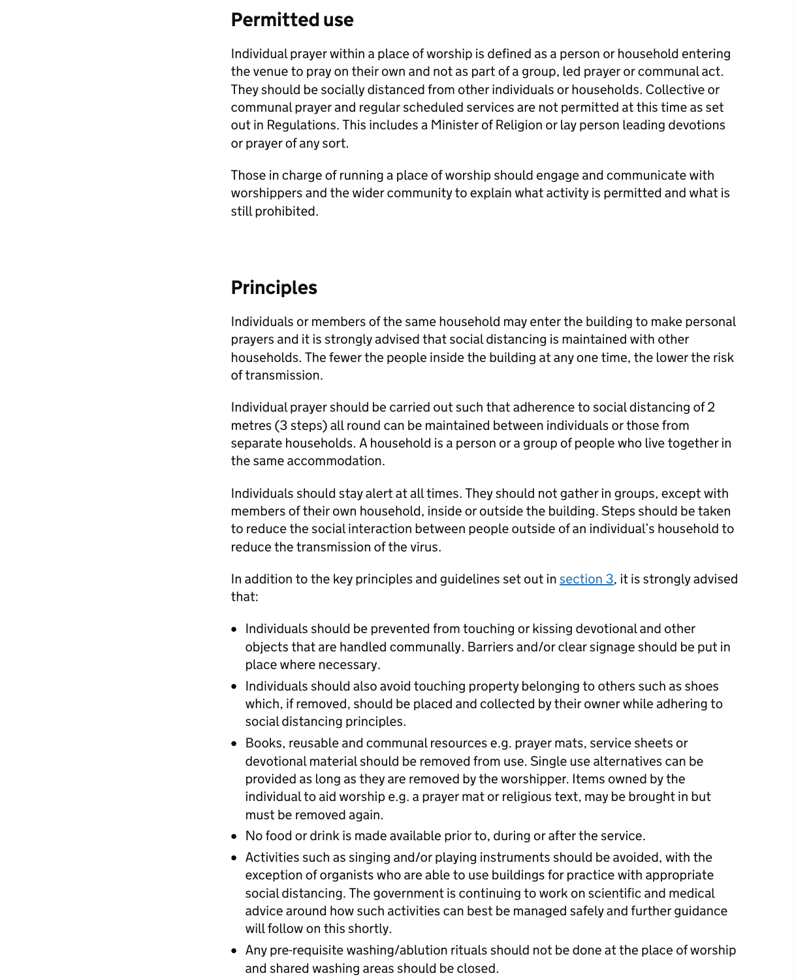#### Permitted use

Individual prayer within a place of worship is defined as a person or household entering the venue to pray on their own and not as part of a group, led prayer or communal act. They should be socially distanced from other individuals or households. Collective or communal prayer and regular scheduled services are not permitted at this time as set out in Regulations. This includes a Minister of Religion or lay person leading devotions or prayer of any sort.

Those in charge of running a place of worship should engage and communicate with worshippers and the wider community to explain what activity is permitted and what is still prohibited.

#### Principles

Individuals or members of the same household may enter the building to make personal prayers and it is strongly advised that social distancing is maintained with other households. The fewer the people inside the building at any one time, the lower the risk of transmission.

In addition to the key principles and guidelines set out in [section 3,](https://www.gov.uk/government/publications/covid-19-guidance-for-the-safe-use-of-places-of-worship-during-the-pandemic/#section3) it is strongly advised that:

Individual prayer should be carried out such that adherence to social distancing of 2 metres (3 steps) all round can be maintained between individuals or those from separate households. A household is a person or a group of people who live together in the same accommodation.

Individuals should stay alert at all times. They should not gather in groups, except with members of their own household, inside or outside the building. Steps should be taken to reduce the social interaction between people outside of an individual's household to reduce the transmission of the virus.

- Individuals should be prevented from touching or kissing devotional and other objects that are handled communally. Barriers and/or clear signage should be put in place where necessary.
- Individuals should also avoid touching property belonging to others such as shoes which, if removed, should be placed and collected by their owner while adhering to social distancing principles.
- Books, reusable and communal resources e.g. prayer mats, service sheets or devotional material should be removed from use. Single use alternatives can be provided as long as they are removed by the worshipper. Items owned by the individual to aid worship e.g. a prayer mat or religious text, may be brought in but must be removed again.
- No food or drink is made available prior to, during or after the service.
- Activities such as singing and/or playing instruments should be avoided, with the exception of organists who are able to use buildings for practice with appropriate social distancing. The government is continuing to work on scientific and medical advice around how such activities can best be managed safely and further guidance will follow on this shortly.
- Any pre-requisite washing/ablution rituals should not be done at the place of worship and shared washing areas should be closed.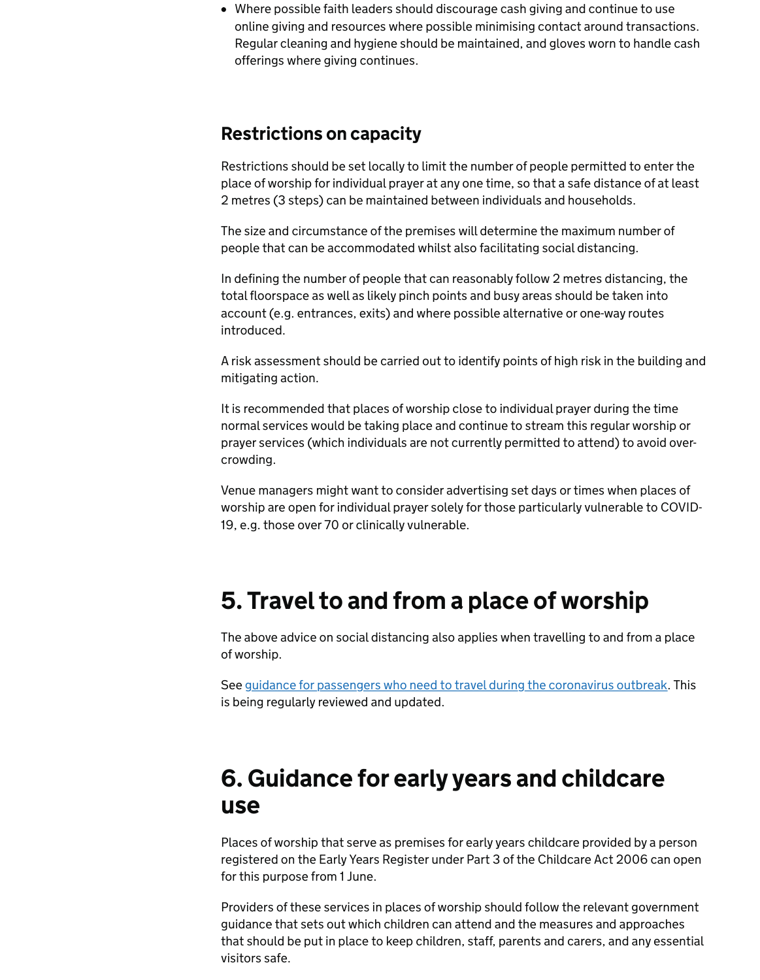Where possible faith leaders should discourage cash giving and continue to use online giving and resources where possible minimising contact around transactions. Regular cleaning and hygiene should be maintained, and gloves worn to handle cash offerings where giving continues.

#### Restrictions on capacity

Restrictions should be set locally to limit the number of people permitted to enter the place of worship for individual prayer at any one time, so that a safe distance of at least 2 metres (3 steps) can be maintained between individuals and households.

The size and circumstance of the premises will determine the maximum number of people that can be accommodated whilst also facilitating social distancing.

In defining the number of people that can reasonably follow 2 metres distancing, the total floorspace as well as likely pinch points and busy areas should be taken into account (e.g. entrances, exits) and where possible alternative or one-way routes introduced.

See [guidance for passengers who need to travel during the coronavirus outbreak](https://www.gov.uk/guidance/coronavirus-covid-19-safer-travel-guidance-for-passengers). This is being regularly reviewed and updated.

A risk assessment should be carried out to identify points of high risk in the building and mitigating action.

It is recommended that places of worship close to individual prayer during the time normal services would be taking place and continue to stream this regular worship or prayer services (which individuals are not currently permitted to attend) to avoid overcrowding.

Venue managers might want to consider advertising set days or times when places of worship are open for individual prayer solely for those particularly vulnerable to COVID-19, e.g. those over 70 or clinically vulnerable.

### 5. Travel to and from a place of worship

The above advice on social distancing also applies when travelling to and from a place of worship.

## 6. Guidance for early years and childcare use

Places of worship that serve as premises for early years childcare provided by a person registered on the Early Years Register under Part 3 of the Childcare Act 2006 can open for this purpose from 1 June.

Providers of these services in places of worship should follow the relevant government guidance that sets out which children can attend and the measures and approaches that should be put in place to keep children, staff, parents and carers, and any essential visitors safe.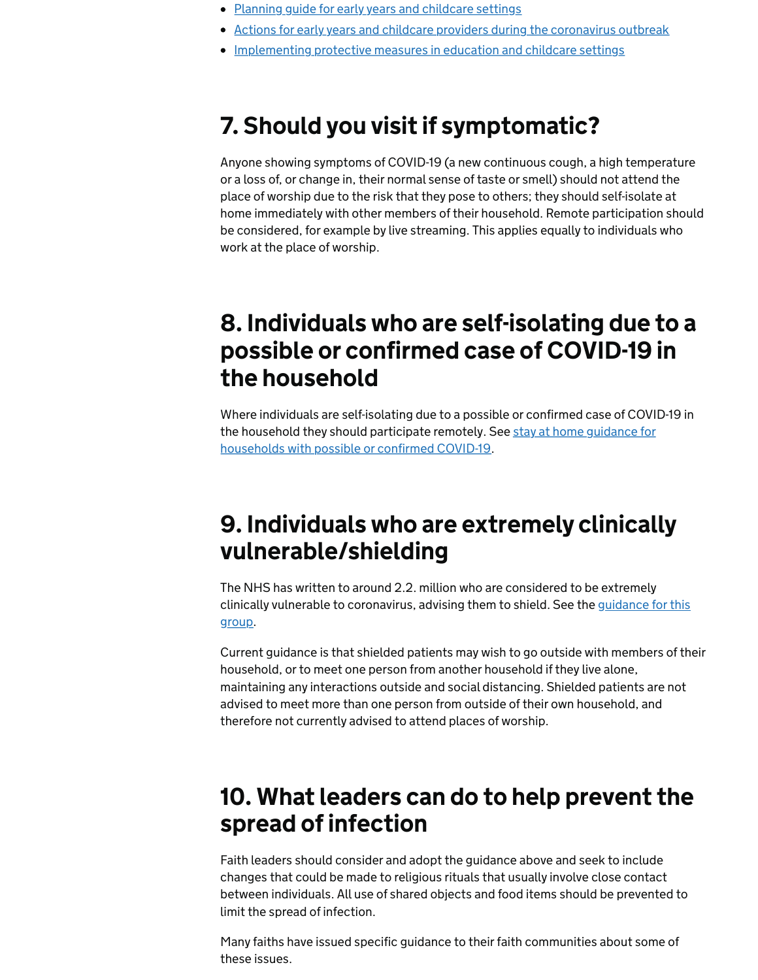- [Planning guide for early years and childcare settings](https://www.gov.uk/government/publications/preparing-for-the-wider-opening-of-early-years-and-childcare-settings-from-1-june/planning-guide-for-early-years-and-childcare-settings)
- [Actions for early years and childcare providers during the coronavirus outbreak](https://www.gov.uk/government/publications/coronavirus-covid-19-early-years-and-childcare-closures/coronavirus-covid-19-early-years-and-childcare-closures)
- [Implementing protective measures in education and childcare settings](https://www.gov.uk/government/publications/coronavirus-covid-19-implementing-protective-measures-in-education-and-childcare-settings/coronavirus-covid-19-implementing-protective-measures-in-education-and-childcare-settings)

## 7. Should you visit if symptomatic?

Anyone showing symptoms of COVID-19 (a new continuous cough, a high temperature or a loss of, or change in, their normal sense of taste or smell) should not attend the place of worship due to the risk that they pose to others; they should self-isolate at home immediately with other members of their household. Remote participation should be considered, for example by live streaming. This applies equally to individuals who work at the place of worship.

The NHS has written to around 2.2. million who are considered to be extremely [clinically vulnerable to coronavirus, advising them to shield. See the guidance for this](https://www.gov.uk/government/publications/guidance-on-shielding-and-protecting-extremely-vulnerable-persons-from-covid-19/guidance-on-shielding-and-protecting-extremely-vulnerable-persons-from-covid-19)

## 8. Individuals who are self-isolating due to a possible or confirmed case of COVID-19 in the household

Where individuals are self-isolating due to a possible or confirmed case of COVID-19 in [the household they should participate remotely. See stay at home guidance for](https://www.gov.uk/government/publications/covid-19-stay-at-home-guidance/stay-at-home-guidance-for-households-with-possible-coronavirus-covid-19-infection) households with possible or confirmed COVID-19.

### 9. Individuals who are extremely clinically vulnerable/shielding

group.

Current guidance is that shielded patients may wish to go outside with members of their household, or to meet one person from another household if they live alone, maintaining any interactions outside and social distancing. Shielded patients are not advised to meet more than one person from outside of their own household, and therefore not currently advised to attend places of worship.

### 10. What leaders can do to help prevent the spread of infection

Faith leaders should consider and adopt the guidance above and seek to include changes that could be made to religious rituals that usually involve close contact between individuals. All use of shared objects and food items should be prevented to limit the spread of infection.

Many faiths have issued specific guidance to their faith communities about some of these issues.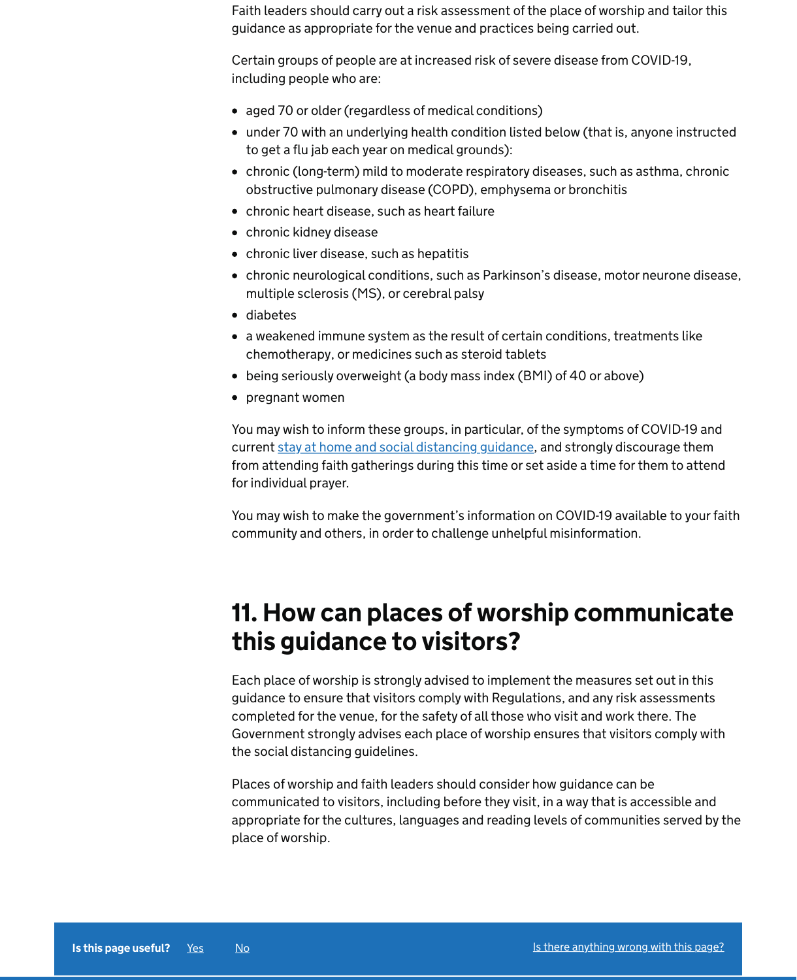Faith leaders should carry out a risk assessment of the place of worship and tailor this guidance as appropriate for the venue and practices being carried out.

Certain groups of people are at increased risk of severe disease from COVID-19, including people who are:

- aged 70 or older (regardless of medical conditions)
- under 70 with an underlying health condition listed below (that is, anyone instructed to get a flu jab each year on medical grounds):
- chronic (long-term) mild to moderate respiratory diseases, such as asthma, chronic obstructive pulmonary disease (COPD), emphysema or bronchitis
- chronic heart disease, such as heart failure
- chronic kidney disease
- chronic liver disease, such as hepatitis
- chronic neurological conditions, such as Parkinson's disease, motor neurone disease, multiple sclerosis (MS), or cerebral palsy
- diabetes
- a weakened immune system as the result of certain conditions, treatments like chemotherapy, or medicines such as steroid tablets
- being seriously overweight (a body mass index (BMI) of 40 or above)
- pregnant women

You may wish to inform these groups, in particular, of the symptoms of COVID-19 and current [stay at home and social distancing guidance](https://www.gov.uk/government/publications/covid-19-stay-at-home-guidance/stay-at-home-guidance-for-people-with-confirmed-or-possible-coronavirus-covid-19-infection), and strongly discourage them from attending faith gatherings during this time or set aside a time for them to attend for individual prayer.

You may wish to make the government's information on COVID-19 available to your faith community and others, in order to challenge unhelpful misinformation.

### 11. How can places of worship communicate this guidance to visitors?

Each place of worship is strongly advised to implement the measures set out in this guidance to ensure that visitors comply with Regulations, and any risk assessments completed for the venue, for the safety of all those who visit and work there. The Government strongly advises each place of worship ensures that visitors comply with the social distancing guidelines.

Places of worship and faith leaders should consider how guidance can be communicated to visitors, including before they visit, in a way that is accessible and appropriate for the cultures, languages and reading levels of communities served by the place of worship.



Is this page useful? [Yes](https://www.gov.uk/contact/govuk) [No](https://www.gov.uk/contact/govuk) [Is there anything wrong with this page?](https://www.gov.uk/contact/govuk)